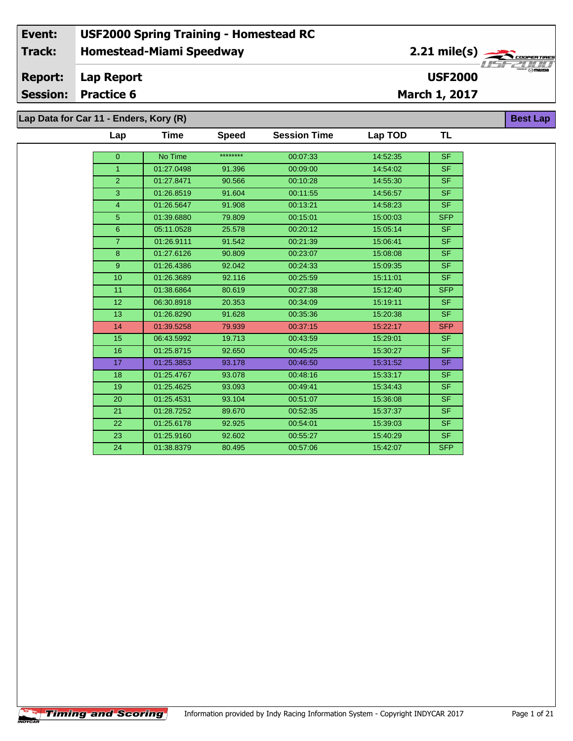| Lap Data for Car 11 - Enders, Kory (R) |  |  |
|----------------------------------------|--|--|
|----------------------------------------|--|--|

| Lap             | Time       | <b>Speed</b> | <b>Session Time</b> | Lap TOD  | TL         |
|-----------------|------------|--------------|---------------------|----------|------------|
| $\pmb{0}$       | No Time    | ********     | 00:07:33            | 14:52:35 | <b>SF</b>  |
| $\overline{1}$  | 01:27.0498 |              | 00:09:00            | 14:54:02 | <b>SF</b>  |
|                 |            | 91.396       |                     |          |            |
| $\overline{2}$  | 01:27.8471 | 90.566       | 00:10:28            | 14:55:30 | <b>SF</b>  |
| 3               | 01:26.8519 | 91.604       | 00:11:55            | 14:56:57 | <b>SF</b>  |
| 4               | 01:26.5647 | 91.908       | 00:13:21            | 14:58:23 | <b>SF</b>  |
| 5               | 01:39.6880 | 79.809       | 00:15:01            | 15:00:03 | <b>SFP</b> |
| $6\phantom{a}$  | 05:11.0528 | 25.578       | 00:20:12            | 15:05:14 | <b>SF</b>  |
| $\overline{7}$  | 01:26.9111 | 91.542       | 00:21:39            | 15:06:41 | <b>SF</b>  |
| 8               | 01:27.6126 | 90.809       | 00:23:07            | 15:08:08 | <b>SF</b>  |
| $\mathsf g$     | 01:26.4386 | 92.042       | 00:24:33            | 15:09:35 | <b>SF</b>  |
| 10              | 01:26.3689 | 92.116       | 00:25:59            | 15:11:01 | <b>SF</b>  |
| 11              | 01:38.6864 | 80.619       | 00:27:38            | 15:12:40 | <b>SFP</b> |
| 12 <sup>2</sup> | 06:30.8918 | 20.353       | 00:34:09            | 15:19:11 | <b>SF</b>  |
| 13              | 01:26.8290 | 91.628       | 00:35:36            | 15:20:38 | <b>SF</b>  |
| 14              | 01:39.5258 | 79.939       | 00:37:15            | 15:22:17 | <b>SFP</b> |
| 15              | 06:43.5992 | 19.713       | 00:43:59            | 15:29:01 | <b>SF</b>  |
| 16              | 01:25.8715 | 92.650       | 00:45:25            | 15:30:27 | <b>SF</b>  |
| 17              | 01:25.3853 | 93.178       | 00:46:50            | 15:31:52 | <b>SF</b>  |
| 18              | 01:25.4767 | 93.078       | 00:48:16            | 15:33:17 | <b>SF</b>  |
| 19              | 01:25.4625 | 93.093       | 00:49:41            | 15:34:43 | <b>SF</b>  |
| 20              | 01:25.4531 | 93.104       | 00:51:07            | 15:36:08 | <b>SF</b>  |
| 21              | 01:28.7252 | 89.670       | 00:52:35            | 15:37:37 | <b>SF</b>  |
| 22              | 01:25.6178 | 92.925       | 00:54:01            | 15:39:03 | <b>SF</b>  |
| 23              | 01:25.9160 | 92.602       | 00:55:27            | 15:40:29 | <b>SF</b>  |
| 24              | 01:38.8379 | 80.495       | 00:57:06            | 15:42:07 | <b>SFP</b> |

**Best Lap**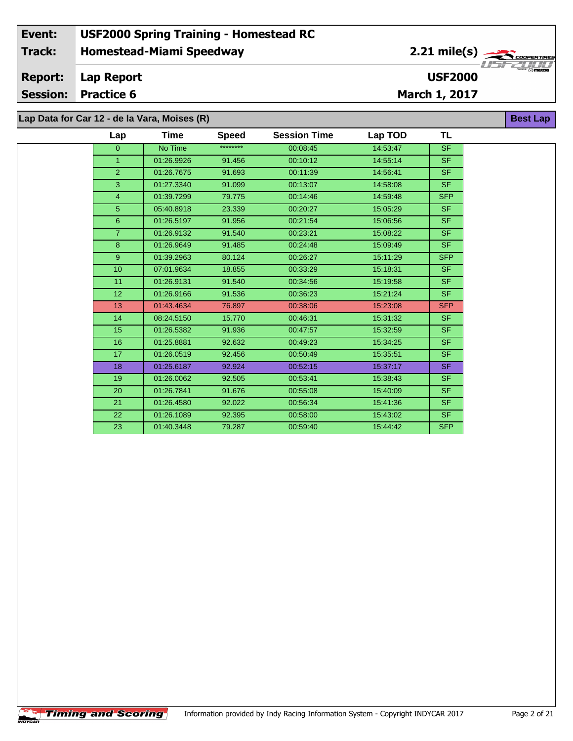### **Homestead-Miami Speedway Lap Report March 1, 2017 Event: USF2000 Spring Training - Homestead RC Track: Report: Session: Practice 6 USF2000** 2.21 mile(s) **Best Lap Lap Data for Car 12 - de la Vara, Moises (R)**

| Lap              | Time       | <b>Speed</b> | <b>Session Time</b> | Lap TOD  | TL         |
|------------------|------------|--------------|---------------------|----------|------------|
| $\Omega$         | No Time    | ********     | 00:08:45            | 14:53:47 | <b>SF</b>  |
| $\mathbf{1}$     | 01:26.9926 | 91.456       | 00:10:12            | 14:55:14 | <b>SF</b>  |
| $\overline{2}$   | 01:26.7675 | 91.693       | 00:11:39            | 14:56:41 | <b>SF</b>  |
| 3                | 01:27.3340 | 91.099       | 00:13:07            | 14:58:08 | <b>SF</b>  |
| $\overline{4}$   | 01:39.7299 | 79.775       | 00:14:46            | 14:59:48 | <b>SFP</b> |
| 5                | 05:40.8918 | 23.339       | 00:20:27            | 15:05:29 | <b>SF</b>  |
| 6                | 01:26.5197 | 91.956       | 00:21:54            | 15:06:56 | <b>SF</b>  |
| $\overline{7}$   | 01:26.9132 | 91.540       | 00:23:21            | 15:08:22 | <b>SF</b>  |
| 8                | 01:26.9649 | 91.485       | 00:24:48            | 15:09:49 | <b>SF</b>  |
| 9                | 01:39.2963 | 80.124       | 00:26:27            | 15:11:29 | <b>SFP</b> |
| 10 <sup>10</sup> | 07:01.9634 | 18.855       | 00:33:29            | 15:18:31 | <b>SF</b>  |
| 11               | 01:26.9131 | 91.540       | 00:34:56            | 15:19:58 | <b>SF</b>  |
| 12               | 01:26.9166 | 91.536       | 00:36:23            | 15:21:24 | <b>SF</b>  |
| 13               | 01:43.4634 | 76.897       | 00:38:06            | 15:23:08 | <b>SFP</b> |
| 14               | 08:24.5150 | 15.770       | 00:46:31            | 15:31:32 | <b>SF</b>  |
| 15               | 01:26.5382 | 91.936       | 00:47:57            | 15:32:59 | <b>SF</b>  |
| 16               | 01:25.8881 | 92.632       | 00:49:23            | 15:34:25 | <b>SF</b>  |
| 17               | 01:26.0519 | 92.456       | 00:50:49            | 15:35:51 | <b>SF</b>  |
| 18               | 01:25.6187 | 92.924       | 00:52:15            | 15:37:17 | <b>SF</b>  |
| 19               | 01:26.0062 | 92.505       | 00:53:41            | 15:38:43 | <b>SF</b>  |
| 20               | 01:26.7841 | 91.676       | 00:55:08            | 15:40:09 | <b>SF</b>  |
| 21               | 01:26.4580 | 92.022       | 00:56:34            | 15:41:36 | <b>SF</b>  |
| 22               | 01:26.1089 | 92.395       | 00:58:00            | 15:43:02 | <b>SF</b>  |
| 23               | 01:40.3448 | 79.287       | 00:59:40            | 15:44:42 | <b>SFP</b> |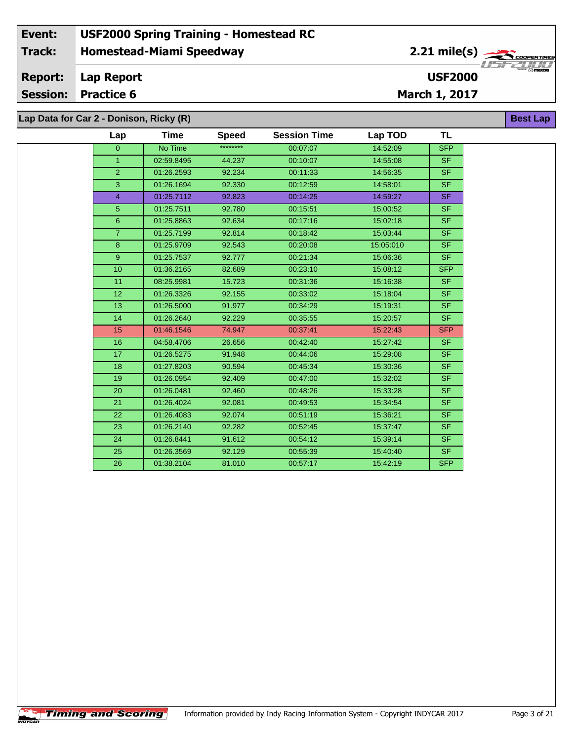### **Homestead-Miami Speedway Lap Report March 1, 2017 Event: USF2000 Spring Training - Homestead RC Track: Report: Session: Practice 6 USF2000** 2.21 mile(s) **Best Lap Lap Data for Car 2 - Donison, Ricky (R)**

| Lap | Time       | <b>Speed</b> | <b>Session Time</b> | Lap TOD  | TL         |
|-----|------------|--------------|---------------------|----------|------------|
| 0   | No Time    | ********     | 00:07:07            | 14:52:09 | <b>SFP</b> |
|     | 02:59.8495 | 44.237       | 00:10:07            | 14:55:08 | <b>SF</b>  |
| っ   | 01:26.2593 | 92.234       | 00:11:33            | 14:56:35 | <b>SF</b>  |
| ົ   | 01:26.1694 | 92.330       | 00:12:59            | 14:58:01 | <b>SF</b>  |
|     |            |              |                     |          |            |

| $\overline{2}$ | 01:26.2593 | 92.234 | 00:11:33 | 14:56:35  | <b>SF</b>  |
|----------------|------------|--------|----------|-----------|------------|
| 3              | 01:26.1694 | 92.330 | 00:12:59 | 14:58:01  | <b>SF</b>  |
| $\overline{4}$ | 01:25.7112 | 92.823 | 00:14:25 | 14:59:27  | <b>SF</b>  |
| 5              | 01:25.7511 | 92.780 | 00:15:51 | 15:00:52  | SF.        |
| 6              | 01:25.8863 | 92.634 | 00:17:16 | 15:02:18  | SF.        |
| $\overline{7}$ | 01:25.7199 | 92.814 | 00:18:42 | 15:03:44  | SF.        |
| 8              | 01:25.9709 | 92.543 | 00:20:08 | 15:05:010 | SF.        |
| 9              | 01:25.7537 | 92.777 | 00:21:34 | 15:06:36  | SF.        |
| 10             | 01:36.2165 | 82.689 | 00:23:10 | 15:08:12  | <b>SFP</b> |
| 11             | 08:25.9981 | 15.723 | 00:31:36 | 15:16:38  | SF.        |
| 12             | 01:26.3326 | 92.155 | 00:33:02 | 15:18:04  | SF.        |
| 13             | 01:26.5000 | 91.977 | 00:34:29 | 15:19:31  | SF.        |
| 14             | 01:26.2640 | 92.229 | 00:35:55 | 15:20:57  | SF.        |
| 15             | 01:46.1546 | 74.947 | 00:37:41 | 15:22:43  | <b>SFP</b> |
| 16             | 04:58.4706 | 26.656 | 00:42:40 | 15:27:42  | SF.        |
| 17             | 01:26.5275 | 91.948 | 00:44:06 | 15:29:08  | SF.        |
| 18             | 01:27.8203 | 90.594 | 00:45:34 | 15:30:36  | SF.        |
| 19             | 01:26.0954 | 92.409 | 00:47:00 | 15:32:02  | SF.        |
| 20             | 01:26.0481 | 92.460 | 00:48:26 | 15:33:28  | SF.        |
| 21             | 01:26.4024 | 92.081 | 00:49:53 | 15:34:54  | SF.        |
| 22             | 01:26.4083 | 92.074 | 00:51:19 | 15:36:21  | SF.        |
| 23             | 01:26.2140 | 92.282 | 00:52:45 | 15:37:47  | SF.        |
| 24             | 01:26.8441 | 91.612 | 00:54:12 | 15:39:14  | SF.        |
| 25             | 01:26.3569 | 92.129 | 00:55:39 | 15:40:40  | SF.        |
| 26             | 01:38.2104 | 81.010 | 00:57:17 | 15:42:19  | <b>SFP</b> |
|                |            |        |          |           |            |

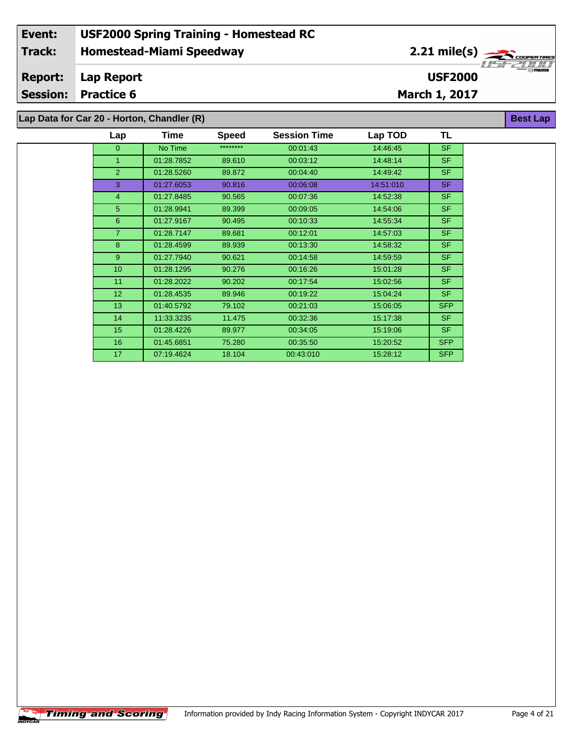### **Homestead-Miami Speedway Lap Report March 1, 2017 Event: USF2000 Spring Training - Homestead RC Track: Report: Session: Practice 6 USF2000** 2.21 mile(s) **Best Lap Lap Data for Car 20 - Horton, Chandler (R)**

| Lap              | <b>Time</b> | <b>Speed</b> | <b>Session Time</b> | Lap TOD   | TL         |
|------------------|-------------|--------------|---------------------|-----------|------------|
| 0                | No Time     | ********     | 00:01:43            | 14:46:45  | <b>SF</b>  |
| $\mathbf{1}$     | 01:28.7852  | 89.610       | 00:03:12            | 14:48:14  | SF.        |
| $\overline{2}$   | 01:28.5260  | 89.872       | 00:04:40            | 14:49:42  | SF.        |
| 3                | 01:27.6053  | 90.816       | 00:06:08            | 14:51:010 | SF.        |
| 4                | 01:27.8485  | 90.565       | 00:07:36            | 14:52:38  | SF.        |
| 5                | 01:28.9941  | 89.399       | 00:09:05            | 14:54:06  | SF.        |
| 6                | 01:27.9167  | 90.495       | 00:10:33            | 14:55:34  | SF.        |
| $\overline{7}$   | 01:28.7147  | 89.681       | 00:12:01            | 14:57:03  | SF.        |
| 8                | 01:28.4599  | 89.939       | 00:13:30            | 14:58:32  | SF.        |
| 9                | 01:27.7940  | 90.621       | 00:14:58            | 14:59:59  | SF.        |
| 10 <sup>10</sup> | 01:28.1295  | 90.276       | 00:16:26            | 15:01:28  | SF.        |
| 11               | 01:28.2022  | 90.202       | 00:17:54            | 15:02:56  | SF.        |
| 12 <sup>2</sup>  | 01:28.4535  | 89.946       | 00:19:22            | 15:04:24  | SF.        |
| 13               | 01:40.5792  | 79.102       | 00:21:03            | 15:06:05  | <b>SFP</b> |
| 14               | 11:33.3235  | 11.475       | 00:32:36            | 15:17:38  | SF.        |
| 15               | 01:28.4226  | 89.977       | 00:34:05            | 15:19:06  | SF.        |
| 16               | 01:45.6851  | 75.280       | 00:35:50            | 15:20:52  | <b>SFP</b> |
| 17               | 07:19.4624  | 18.104       | 00:43:010           | 15:28:12  | <b>SFP</b> |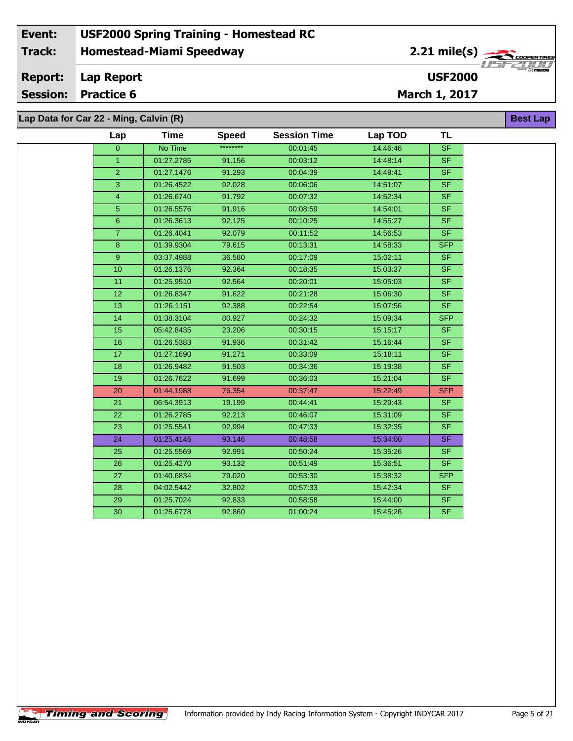### **Homestead-Miami Speedway Lap Report March 1, 2017 Event: USF2000 Spring Training - Homestead RC Track: Report: Session: Practice 6 USF2000** 2.21 mile(s) **Best Lap Lap Data for Car 22 - Ming, Calvin (R)**

| Lap            | <b>Time</b> | <b>Speed</b> | <b>Session Time</b> | Lap TOD  | <b>TL</b>                |
|----------------|-------------|--------------|---------------------|----------|--------------------------|
| $\overline{0}$ | No Time     | ********     | 00:01:45            | 14:46:46 | <b>SF</b>                |
| $\mathbf{1}$   | 01:27.2785  | 91.156       | 00:03:12            | 14:48:14 | <b>SF</b>                |
| $\overline{2}$ | 01:27.1476  | 91.293       | 00:04:39            | 14:49:41 | SF                       |
| 3              | 01:26.4522  | 92.028       | 00:06:06            | 14:51:07 | <b>SF</b>                |
| $\overline{4}$ | 01:26.6740  | 91.792       | 00:07:32            | 14:52:34 | <b>SF</b>                |
| 5              | 01:26.5576  | 91.916       | 00:08:59            | 14:54:01 | <b>SF</b>                |
| 6              | 01:26.3613  | 92.125       | 00:10:25            | 14:55:27 | <b>SF</b>                |
| $\overline{7}$ | 01:26.4041  | 92.079       | 00:11:52            | 14:56:53 | <b>SF</b>                |
| 8              | 01:39.9304  | 79.615       | 00:13:31            | 14:58:33 | <b>SFP</b>               |
| $\overline{9}$ | 03:37.4988  | 36.580       | 00:17:09            | 15:02:11 | S <sub>F</sub>           |
| 10             | 01:26.1376  | 92.364       | 00:18:35            | 15:03:37 | <b>SF</b>                |
| 11             | 01:25.9510  | 92.564       | 00:20:01            | 15:05:03 | SF.                      |
| 12             | 01:26.8347  | 91.622       | 00:21:28            | 15:06:30 | <b>SF</b>                |
| 13             | 01:26.1151  | 92.388       | 00:22:54            | 15:07:56 | S <sub>F</sub>           |
| 14             | 01:38.3104  | 80.927       | 00:24:32            | 15:09:34 | <b>SFP</b>               |
| 15             | 05:42.8435  | 23.206       | 00:30:15            | 15:15:17 | <b>SF</b>                |
| 16             | 01:26.5383  | 91.936       | 00:31:42            | 15:16:44 | $\overline{\mathsf{SF}}$ |
| 17             | 01:27.1690  | 91.271       | 00:33:09            | 15:18:11 | <b>SF</b>                |
| 18             | 01:26.9482  | 91.503       | 00:34:36            | 15:19:38 | <b>SF</b>                |
| 19             | 01:26.7622  | 91.699       | 00:36:03            | 15:21:04 | <b>SF</b>                |
| 20             | 01:44.1988  | 76.354       | 00:37:47            | 15:22:49 | <b>SFP</b>               |
| 21             | 06:54.3913  | 19.199       | 00:44:41            | 15:29:43 | <b>SF</b>                |
| 22             | 01:26.2785  | 92.213       | 00:46:07            | 15:31:09 | <b>SF</b>                |
| 23             | 01:25.5541  | 92.994       | 00:47:33            | 15:32:35 | <b>SF</b>                |
| 24             | 01:25.4146  | 93.146       | 00:48:58            | 15:34:00 | <b>SF</b>                |
| 25             | 01:25.5569  | 92.991       | 00:50:24            | 15:35:26 | <b>SF</b>                |
| 26             | 01:25.4270  | 93.132       | 00:51:49            | 15:36:51 | <b>SF</b>                |
| 27             | 01:40.6834  | 79.020       | 00:53:30            | 15:38:32 | <b>SFP</b>               |
| 28             | 04:02.5442  | 32.802       | 00:57:33            | 15:42:34 | <b>SF</b>                |
| 29             | 01:25.7024  | 92.833       | 00:58:58            | 15:44:00 | SF.                      |
| 30             | 01:25.6778  | 92.860       | 01:00:24            | 15:45:26 | <b>SF</b>                |

 $\sqrt{\textbf{T}}$ iming and Scoring $\sqrt{\textbf{S}}$ 

÷.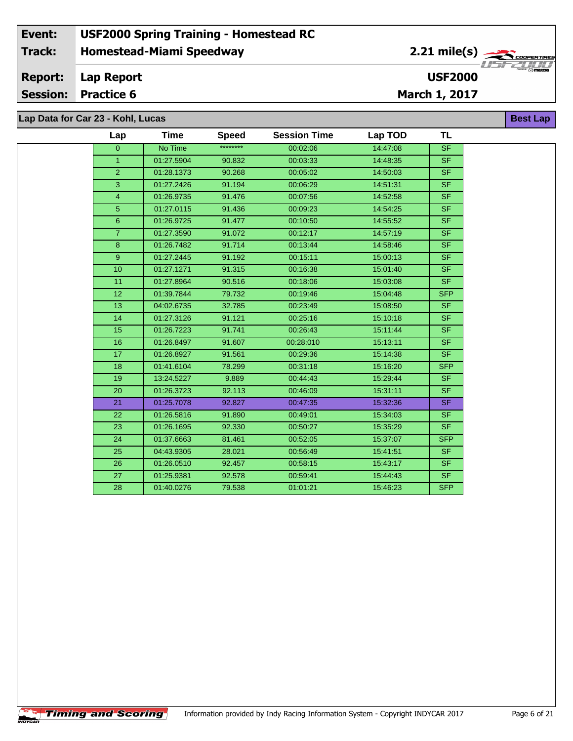**Lap Data for Car 23 - Kohl, Lucas**

 $\uparrow$ Timing and Scoring $\uparrow$ 

 $\overline{\phantom{a}}$ 

| Lap            | <b>Time</b> | <b>Speed</b> | <b>Session Time</b> | Lap TOD  | <b>TL</b>  |
|----------------|-------------|--------------|---------------------|----------|------------|
| $\overline{0}$ | No Time     | ********     | 00:02:06            | 14:47:08 | SF         |
| 1 <sup>1</sup> | 01:27.5904  | 90.832       | 00:03:33            | 14:48:35 | <b>SF</b>  |
| $\overline{2}$ | 01:28.1373  | 90.268       | 00:05:02            | 14:50:03 | SF.        |
| $\overline{3}$ | 01:27.2426  | 91.194       | 00:06:29            | 14:51:31 | SF         |
| $\overline{4}$ | 01:26.9735  | 91.476       | 00:07:56            | 14:52:58 | <b>SF</b>  |
| 5 <sup>5</sup> | 01:27.0115  | 91.436       | 00:09:23            | 14:54:25 | SF         |
| $6^{\circ}$    | 01:26.9725  | 91.477       | 00:10:50            | 14:55:52 | <b>SF</b>  |
| $\overline{7}$ | 01:27.3590  | 91.072       | 00:12:17            | 14:57:19 | SF         |
| 8 <sup>°</sup> | 01:26.7482  | 91.714       | 00:13:44            | 14:58:46 | <b>SF</b>  |
| 9 <sup>°</sup> | 01:27.2445  | 91.192       | 00:15:11            | 15:00:13 | <b>SF</b>  |
| 10             | 01:27.1271  | 91.315       | 00:16:38            | 15:01:40 | <b>SF</b>  |
| 11             | 01:27.8964  | 90.516       | 00:18:06            | 15:03:08 | <b>SF</b>  |
| 12             | 01:39.7844  | 79.732       | 00:19:46            | 15:04:48 | <b>SFP</b> |
| 13             | 04:02.6735  | 32.785       | 00:23:49            | 15:08:50 | SF.        |
| 14             | 01:27.3126  | 91.121       | 00:25:16            | 15:10:18 | SF         |
| 15             | 01:26.7223  | 91.741       | 00:26:43            | 15:11:44 | <b>SF</b>  |
| 16             | 01:26.8497  | 91.607       | 00:28:010           | 15:13:11 | SF         |
| 17             | 01:26.8927  | 91.561       | 00:29:36            | 15:14:38 | <b>SF</b>  |
| 18             | 01:41.6104  | 78.299       | 00:31:18            | 15:16:20 | <b>SFP</b> |
| 19             | 13:24.5227  | 9.889        | 00:44:43            | 15:29:44 | <b>SF</b>  |
| 20             | 01:26.3723  | 92.113       | 00:46:09            | 15:31:11 | <b>SF</b>  |
| 21             | 01:25.7078  | 92.827       | 00:47:35            | 15:32:36 | <b>SF</b>  |
| 22             | 01:26.5816  | 91.890       | 00:49:01            | 15:34:03 | SF.        |
| 23             | 01:26.1695  | 92.330       | 00:50:27            | 15:35:29 | <b>SF</b>  |
| 24             | 01:37.6663  | 81.461       | 00:52:05            | 15:37:07 | <b>SFP</b> |
| 25             | 04:43.9305  | 28.021       | 00:56:49            | 15:41:51 | <b>SF</b>  |
| 26             | 01:26.0510  | 92.457       | 00:58:15            | 15:43:17 | <b>SF</b>  |
| 27             | 01:25.9381  | 92.578       | 00:59:41            | 15:44:43 | <b>SF</b>  |
| 28             | 01:40.0276  | 79.538       | 01:01:21            | 15:46:23 | <b>SFP</b> |

**Best Lap**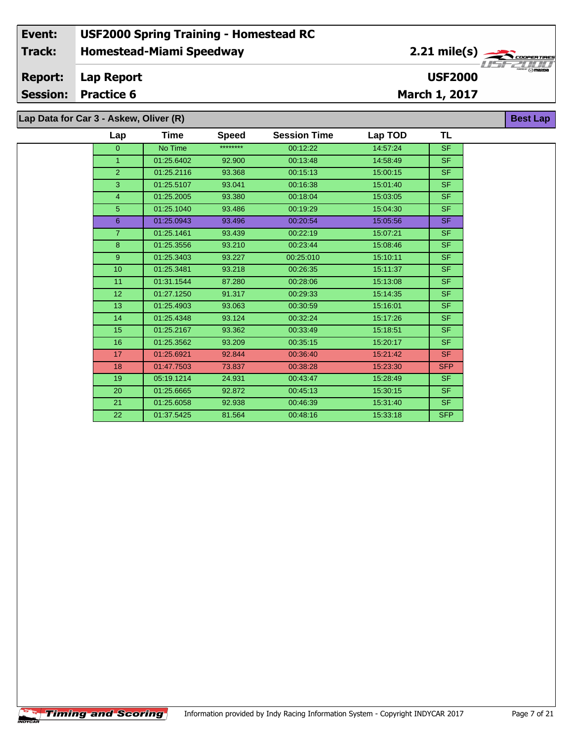**Lap Data for Car 3 - Askew, Oliver (R)**

| Lap             | Time       | <b>Speed</b> | <b>Session Time</b> | Lap TOD  | TL         |
|-----------------|------------|--------------|---------------------|----------|------------|
| $\overline{0}$  | No Time    | ********     | 00:12:22            | 14:57:24 | <b>SF</b>  |
| $\overline{1}$  | 01:25.6402 | 92.900       | 00:13:48            | 14:58:49 | <b>SF</b>  |
| $\overline{2}$  | 01:25.2116 | 93.368       | 00:15:13            | 15:00:15 | <b>SF</b>  |
| 3               | 01:25.5107 | 93.041       | 00:16:38            | 15:01:40 | <b>SF</b>  |
| 4               | 01:25.2005 | 93.380       | 00:18:04            | 15:03:05 | <b>SF</b>  |
| 5               | 01:25.1040 | 93.486       | 00:19:29            | 15:04:30 | <b>SF</b>  |
| $6\overline{6}$ | 01:25.0943 | 93.496       | 00:20:54            | 15:05:56 | <b>SF</b>  |
| $\overline{7}$  | 01:25.1461 | 93.439       | 00:22:19            | 15:07:21 | <b>SF</b>  |
| 8               | 01:25.3556 | 93.210       | 00:23:44            | 15:08:46 | <b>SF</b>  |
| 9               | 01:25.3403 | 93.227       | 00:25:010           | 15:10:11 | <b>SF</b>  |
| 10              | 01:25.3481 | 93.218       | 00:26:35            | 15:11:37 | <b>SF</b>  |
| 11              | 01:31.1544 | 87.280       | 00:28:06            | 15:13:08 | <b>SF</b>  |
| 12 <sup>2</sup> | 01:27.1250 | 91.317       | 00:29:33            | 15:14:35 | <b>SF</b>  |
| 13 <sup>2</sup> | 01:25.4903 | 93.063       | 00:30:59            | 15:16:01 | <b>SF</b>  |
| 14              | 01:25.4348 | 93.124       | 00:32:24            | 15:17:26 | <b>SF</b>  |
| 15              | 01:25.2167 | 93.362       | 00:33:49            | 15:18:51 | <b>SF</b>  |
| 16              | 01:25.3562 | 93.209       | 00:35:15            | 15:20:17 | <b>SF</b>  |
| 17 <sup>2</sup> | 01:25.6921 | 92.844       | 00:36:40            | 15:21:42 | <b>SF</b>  |
| 18              | 01:47.7503 | 73.837       | 00:38:28            | 15:23:30 | <b>SFP</b> |
| 19              | 05:19.1214 | 24.931       | 00:43:47            | 15:28:49 | <b>SF</b>  |
| 20              | 01:25.6665 | 92.872       | 00:45:13            | 15:30:15 | <b>SF</b>  |
| 21              | 01:25.6058 | 92.938       | 00:46:39            | 15:31:40 | <b>SF</b>  |
| 22              | 01:37.5425 | 81.564       | 00:48:16            | 15:33:18 | <b>SFP</b> |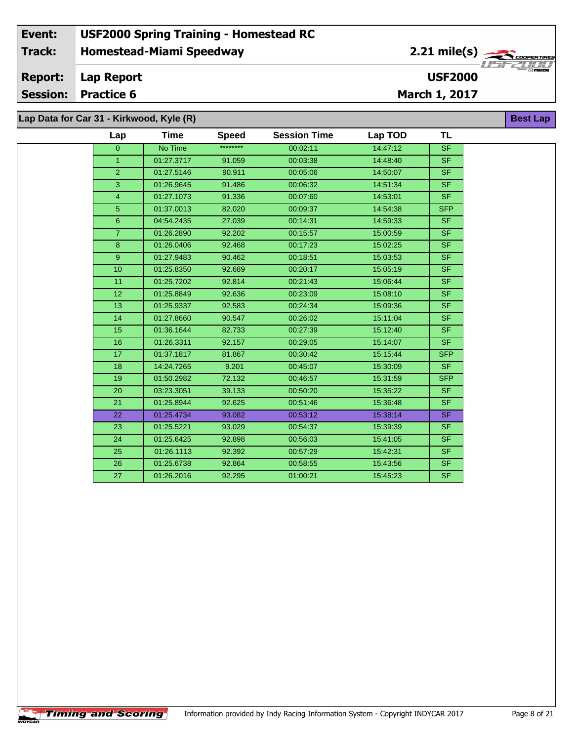### **Homestead-Miami Speedway Lap Report March 1, 2017 Event: USF2000 Spring Training - Homestead RC Track: Report: Session: Practice 6 USF2000** 2.21 mile(s) **Best Lap Lap Data for Car 31 - Kirkwood, Kyle (R)**

**TL**

| Lap Data for Gar 31 - Kirkwood, Kyle (R) |     |      |             |
|------------------------------------------|-----|------|-------------|
|                                          | Lap | Time | <b>Spee</b> |

| Lap             | Time       | Speed    | <b>Session Time</b> | Lap TOD  | <b>TL</b>                |
|-----------------|------------|----------|---------------------|----------|--------------------------|
| $\Omega$        | No Time    | ******** | 00:02:11            | 14:47:12 | <b>SF</b>                |
| $\mathbf{1}$    | 01:27.3717 | 91.059   | 00:03:38            | 14:48:40 | SF.                      |
| $\overline{2}$  | 01:27.5146 | 90.911   | 00:05:06            | 14:50:07 | $\overline{\mathsf{SF}}$ |
| 3               | 01:26.9645 | 91.486   | 00:06:32            | 14:51:34 | SF.                      |
| $\overline{4}$  | 01:27.1073 | 91.336   | 00:07:60            | 14:53:01 | <b>SF</b>                |
| 5               | 01:37.0013 | 82.020   | 00:09:37            | 14:54:38 | <b>SFP</b>               |
| $6\phantom{a}$  | 04:54.2435 | 27.039   | 00:14:31            | 14:59:33 | <b>SF</b>                |
| $\overline{7}$  | 01:26.2890 | 92.202   | 00:15:57            | 15:00:59 | SF.                      |
| 8               | 01:26.0406 | 92.468   | 00:17:23            | 15:02:25 | SF.                      |
| 9 <sup>°</sup>  | 01:27.9483 | 90.462   | 00:18:51            | 15:03:53 | <b>SF</b>                |
| 10              | 01:25.8350 | 92.689   | 00:20:17            | 15:05:19 | <b>SF</b>                |
| 11              | 01:25.7202 | 92.814   | 00:21:43            | 15:06:44 | SF.                      |
| 12 <sub>2</sub> | 01:25.8849 | 92.636   | 00:23:09            | 15:08:10 | <b>SF</b>                |
| 13              | 01:25.9337 | 92.583   | 00:24:34            | 15:09:36 | SF.                      |
| 14              | 01:27.8660 | 90.547   | 00:26:02            | 15:11:04 | SF.                      |
| 15              | 01:36.1644 | 82.733   | 00:27:39            | 15:12:40 | SF.                      |
| 16              | 01:26.3311 | 92.157   | 00:29:05            | 15:14:07 | <b>SF</b>                |
| 17              | 01:37.1817 | 81.867   | 00:30:42            | 15:15:44 | SFP                      |
| 18              | 14:24.7265 | 9.201    | 00:45:07            | 15:30:09 | SF.                      |
| 19              | 01:50.2982 | 72.132   | 00:46:57            | 15:31:59 | SFP                      |
| 20              | 03:23.3051 | 39.133   | 00:50:20            | 15:35:22 | <b>SF</b>                |
| 21              | 01:25.8944 | 92.625   | 00:51:46            | 15:36:48 | SF.                      |
| 22              | 01:25.4734 | 93.082   | 00:53:12            | 15:38:14 | SF.                      |
| 23              | 01:25.5221 | 93.029   | 00:54:37            | 15:39:39 | SF.                      |
| 24              | 01:25.6425 | 92.898   | 00:56:03            | 15:41:05 | SF.                      |
| 25              | 01:26.1113 | 92.392   | 00:57:29            | 15:42:31 | SF.                      |
| 26              | 01:25.6738 | 92.864   | 00:58:55            | 15:43:56 | SF.                      |
| 27              | 01:26.2016 | 92.295   | 01:00:21            | 15:45:23 | <b>SF</b>                |
|                 |            |          |                     |          |                          |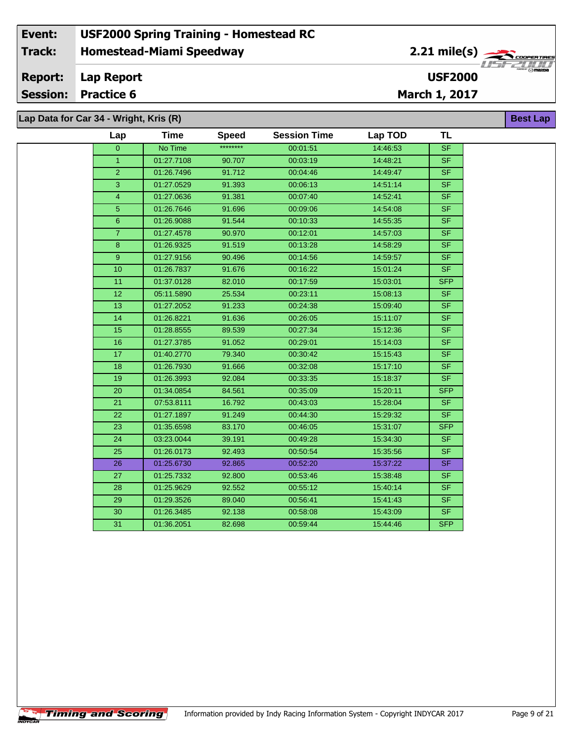### **Homestead-Miami Speedway Lap Report March 1, 2017 Event: USF2000 Spring Training - Homestead RC Track: Report: Session: Practice 6 USF2000** 2.21 mile(s) **Best Lap Lap Data for Car 34 - Wright, Kris (R)**

| Lap             | Time       | <b>Speed</b> | <b>Session Time</b> | Lap TOD  | <b>TL</b>  |
|-----------------|------------|--------------|---------------------|----------|------------|
| $\overline{0}$  | No Time    | ********     | 00:01:51            | 14:46:53 | SF         |
| $\mathbf{1}$    | 01:27.7108 | 90.707       | 00:03:19            | 14:48:21 | <b>SF</b>  |
| $\overline{2}$  | 01:26.7496 | 91.712       | 00:04:46            | 14:49:47 | <b>SF</b>  |
| $\overline{3}$  | 01:27.0529 | 91.393       | 00:06:13            | 14:51:14 | <b>SF</b>  |
| $\overline{4}$  | 01:27.0636 | 91.381       | 00:07:40            | 14:52:41 | SF         |
| $\overline{5}$  | 01:26.7646 | 91.696       | 00:09:06            | 14:54:08 | SF         |
| $\overline{6}$  | 01:26.9088 | 91.544       | 00:10:33            | 14:55:35 | <b>SF</b>  |
| $\overline{7}$  | 01:27.4578 | 90.970       | 00:12:01            | 14:57:03 | SF.        |
| 8               | 01:26.9325 | 91.519       | 00:13:28            | 14:58:29 | SF.        |
| 9               | 01:27.9156 | 90.496       | 00:14:56            | 14:59:57 | SF.        |
| 10              | 01:26.7837 | 91.676       | 00:16:22            | 15:01:24 | <b>SF</b>  |
| 11              | 01:37.0128 | 82.010       | 00:17:59            | 15:03:01 | <b>SFP</b> |
| 12              | 05:11.5890 | 25.534       | 00:23:11            | 15:08:13 | SF.        |
| 13              | 01:27.2052 | 91.233       | 00:24:38            | 15:09:40 | SF.        |
| 14              | 01:26.8221 | 91.636       | 00:26:05            | 15:11:07 | SF         |
| 15              | 01:28.8555 | 89.539       | 00:27:34            | 15:12:36 | <b>SF</b>  |
| 16              | 01:27.3785 | 91.052       | 00:29:01            | 15:14:03 | SF.        |
| 17              | 01:40.2770 | 79.340       | 00:30:42            | 15:15:43 | <b>SF</b>  |
| 18              | 01:26.7930 | 91.666       | 00:32:08            | 15:17:10 | SF         |
| 19              | 01:26.3993 | 92.084       | 00:33:35            | 15:18:37 | <b>SF</b>  |
| 20              | 01:34.0854 | 84.561       | 00:35:09            | 15:20:11 | <b>SFP</b> |
| 21              | 07:53.8111 | 16.792       | 00:43:03            | 15:28:04 | <b>SF</b>  |
| 22              | 01:27.1897 | 91.249       | 00:44:30            | 15:29:32 | <b>SF</b>  |
| $\overline{23}$ | 01:35.6598 | 83.170       | 00:46:05            | 15:31:07 | <b>SFP</b> |
| 24              | 03:23.0044 | 39.191       | 00:49:28            | 15:34:30 | <b>SF</b>  |
| 25              | 01:26.0173 | 92.493       | 00:50:54            | 15:35:56 | <b>SF</b>  |
| 26              | 01:25.6730 | 92.865       | 00:52:20            | 15:37:22 | SF.        |
| 27              | 01:25.7332 | 92.800       | 00:53:46            | 15:38:48 | <b>SF</b>  |
| 28              | 01:25.9629 | 92.552       | 00:55:12            | 15:40:14 | <b>SF</b>  |
| 29              | 01:29.3526 | 89.040       | 00:56:41            | 15:41:43 | SF.        |
| 30              | 01:26.3485 | 92.138       | 00:58:08            | 15:43:09 | SF.        |
| 31              | 01:36.2051 | 82.698       | 00:59:44            | 15:44:46 | <b>SFP</b> |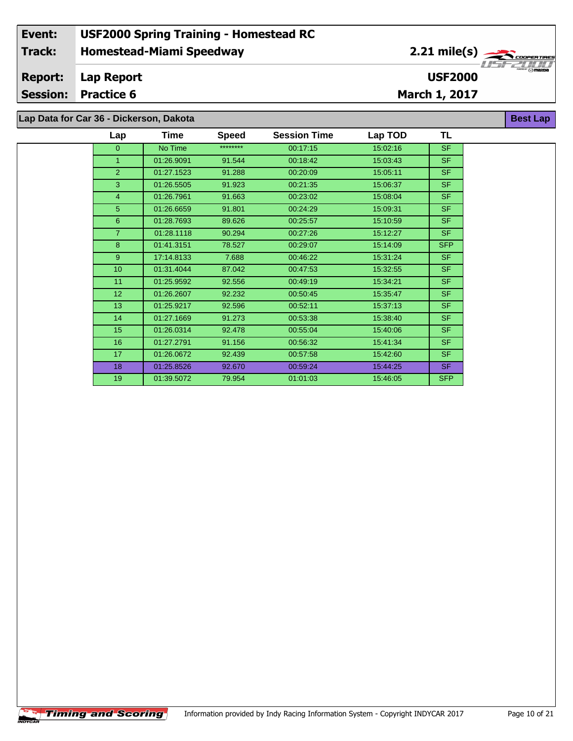**Lap Data for Car 36 - Dickerson, Dakota**

| Lap            | Time       | <b>Speed</b> | <b>Session Time</b> | Lap TOD  | TL         |
|----------------|------------|--------------|---------------------|----------|------------|
| 0              | No Time    | ********     | 00:17:15            | 15:02:16 | <b>SF</b>  |
| 1              | 01:26.9091 | 91.544       | 00:18:42            | 15:03:43 | SF.        |
| $\overline{2}$ | 01:27.1523 | 91.288       | 00:20:09            | 15:05:11 | SF.        |
| 3              | 01:26.5505 | 91.923       | 00:21:35            | 15:06:37 | <b>SF</b>  |
| 4              | 01:26.7961 | 91.663       | 00:23:02            | 15:08:04 | <b>SF</b>  |
| 5              | 01:26.6659 | 91.801       | 00:24:29            | 15:09:31 | <b>SF</b>  |
| 6              | 01:28.7693 | 89.626       | 00:25:57            | 15:10:59 | SF.        |
| $\overline{7}$ | 01:28.1118 | 90.294       | 00:27:26            | 15:12:27 | SF.        |
| 8              | 01:41.3151 | 78.527       | 00:29:07            | 15:14:09 | <b>SFP</b> |
| 9              | 17:14.8133 | 7.688        | 00:46:22            | 15:31:24 | <b>SF</b>  |
| 10             | 01:31.4044 | 87.042       | 00:47:53            | 15:32:55 | <b>SF</b>  |
| 11             | 01:25.9592 | 92.556       | 00:49:19            | 15:34:21 | <b>SF</b>  |
| 12             | 01:26.2607 | 92.232       | 00:50:45            | 15:35:47 | SF.        |
| 13             | 01:25.9217 | 92.596       | 00:52:11            | 15:37:13 | SF.        |
| 14             | 01:27.1669 | 91.273       | 00:53:38            | 15:38:40 | <b>SF</b>  |
| 15             | 01:26.0314 | 92.478       | 00:55:04            | 15:40:06 | <b>SF</b>  |
| 16             | 01:27.2791 | 91.156       | 00:56:32            | 15:41:34 | SF.        |
| 17             | 01:26.0672 | 92.439       | 00:57:58            | 15:42:60 | <b>SF</b>  |
| 18             | 01:25.8526 | 92.670       | 00:59:24            | 15:44:25 | <b>SF</b>  |
| 19             | 01:39.5072 | 79.954       | 01:01:03            | 15:46:05 | <b>SFP</b> |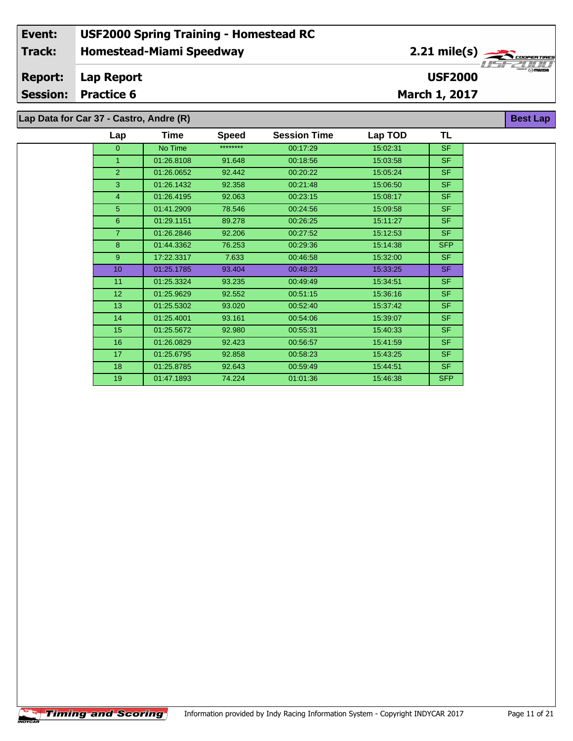**Lap Data for Car 37 - Castro, Andre (R)**

| Lap             | Time       | <b>Speed</b> | <b>Session Time</b> | Lap TOD  | TL         |
|-----------------|------------|--------------|---------------------|----------|------------|
| $\overline{0}$  | No Time    | ********     | 00:17:29            | 15:02:31 | <b>SF</b>  |
| $\mathbf{1}$    | 01:26.8108 | 91.648       | 00:18:56            | 15:03:58 | <b>SF</b>  |
| $\overline{2}$  | 01:26.0652 | 92.442       | 00:20:22            | 15:05:24 | <b>SF</b>  |
| 3               | 01:26.1432 | 92.358       | 00:21:48            | 15:06:50 | <b>SF</b>  |
| $\overline{4}$  | 01:26.4195 | 92.063       | 00:23:15            | 15:08:17 | <b>SF</b>  |
| 5               | 01:41.2909 | 78.546       | 00:24:56            | 15:09:58 | <b>SF</b>  |
| 6               | 01:29.1151 | 89.278       | 00:26:25            | 15:11:27 | <b>SF</b>  |
| $\overline{7}$  | 01:26.2846 | 92.206       | 00:27:52            | 15:12:53 | <b>SF</b>  |
| 8               | 01:44.3362 | 76.253       | 00:29:36            | 15:14:38 | <b>SFP</b> |
| 9 <sup>°</sup>  | 17:22.3317 | 7.633        | 00:46:58            | 15:32:00 | <b>SF</b>  |
| 10              | 01:25.1785 | 93.404       | 00:48:23            | 15:33:25 | <b>SF</b>  |
| 11              | 01:25.3324 | 93.235       | 00:49:49            | 15:34:51 | <b>SF</b>  |
| 12              | 01:25.9629 | 92.552       | 00:51:15            | 15:36:16 | <b>SF</b>  |
| 13              | 01:25.5302 | 93.020       | 00:52:40            | 15:37:42 | <b>SF</b>  |
| 14              | 01:25.4001 | 93.161       | 00:54:06            | 15:39:07 | <b>SF</b>  |
| 15 <sub>2</sub> | 01:25.5672 | 92.980       | 00:55:31            | 15:40:33 | <b>SF</b>  |
| 16              | 01:26.0829 | 92.423       | 00:56:57            | 15:41:59 | <b>SF</b>  |
| 17              | 01:25.6795 | 92.858       | 00:58:23            | 15:43:25 | <b>SF</b>  |
| 18              | 01:25.8785 | 92.643       | 00:59:49            | 15:44:51 | <b>SF</b>  |
| 19              | 01:47.1893 | 74.224       | 01:01:36            | 15:46:38 | <b>SFP</b> |
|                 |            |              |                     |          |            |

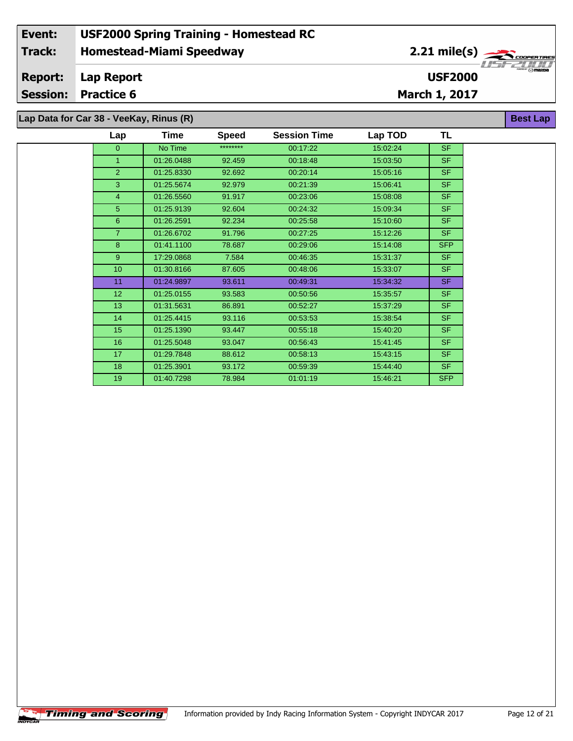|  |  |  |  |  | Lap Data for Car 38 - VeeKay, Rinus (R) |  |  |  |
|--|--|--|--|--|-----------------------------------------|--|--|--|
|--|--|--|--|--|-----------------------------------------|--|--|--|

| Lap            | Time       | <b>Speed</b> | <b>Session Time</b> | Lap TOD  | TL         |
|----------------|------------|--------------|---------------------|----------|------------|
| $\overline{0}$ | No Time    | ********     | 00:17:22            | 15:02:24 | <b>SF</b>  |
| 1              | 01:26.0488 | 92.459       | 00:18:48            | 15:03:50 | <b>SF</b>  |
| $\overline{2}$ | 01:25.8330 | 92.692       | 00:20:14            | 15:05:16 | <b>SF</b>  |
| 3              | 01:25.5674 | 92.979       | 00:21:39            | 15:06:41 | <b>SF</b>  |
| 4              | 01:26.5560 | 91.917       | 00:23:06            | 15:08:08 | <b>SF</b>  |
| 5              | 01:25.9139 | 92.604       | 00:24:32            | 15:09:34 | <b>SF</b>  |
| 6              | 01:26.2591 | 92.234       | 00:25:58            | 15:10:60 | <b>SF</b>  |
| $\overline{7}$ | 01:26.6702 | 91.796       | 00:27:25            | 15:12:26 | <b>SF</b>  |
| 8              | 01:41.1100 | 78.687       | 00:29:06            | 15:14:08 | <b>SFP</b> |
| 9              | 17:29.0868 | 7.584        | 00:46:35            | 15:31:37 | <b>SF</b>  |
| 10             | 01:30.8166 | 87.605       | 00:48:06            | 15:33:07 | <b>SF</b>  |
| 11             | 01:24.9897 | 93.611       | 00:49:31            | 15:34:32 | <b>SF</b>  |
| 12             | 01:25.0155 | 93.583       | 00:50:56            | 15:35:57 | <b>SF</b>  |
| 13             | 01:31.5631 | 86.891       | 00:52:27            | 15:37:29 | <b>SF</b>  |
| 14             | 01:25.4415 | 93.116       | 00:53:53            | 15:38:54 | <b>SF</b>  |
| 15             | 01:25.1390 | 93.447       | 00:55:18            | 15:40:20 | <b>SF</b>  |
| 16             | 01:25.5048 | 93.047       | 00:56:43            | 15:41:45 | <b>SF</b>  |
| 17             | 01:29.7848 | 88.612       | 00:58:13            | 15:43:15 | <b>SF</b>  |
| 18             | 01:25.3901 | 93.172       | 00:59:39            | 15:44:40 | <b>SF</b>  |
| 19             | 01:40.7298 | 78.984       | 01:01:19            | 15:46:21 | <b>SFP</b> |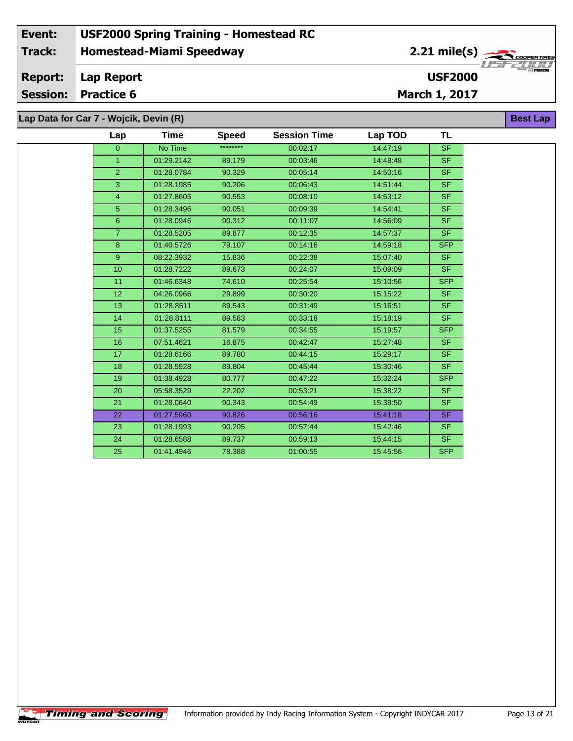### **Homestead-Miami Speedway Lap Report March 1, 2017 Event: USF2000 Spring Training - Homestead RC Track: Report: Session: Practice 6 USF2000** 2.21 mile(s) **Best Lap Lap Data for Car 7 - Wojcik, Devin (R)**

| Lap             | <b>Time</b> | <b>Speed</b> | <b>Session Time</b> | Lap TOD  | <b>TL</b>  |
|-----------------|-------------|--------------|---------------------|----------|------------|
| $\overline{0}$  | No Time     | ********     | 00:02:17            | 14:47:19 | <b>SF</b>  |
| $\mathbf{1}$    | 01:29.2142  | 89.179       | 00:03:46            | 14:48:48 | <b>SF</b>  |
| 2 <sub>1</sub>  | 01:28.0784  | 90.329       | 00:05:14            | 14:50:16 | <b>SF</b>  |
| 3               | 01:28.1985  | 90.206       | 00:06:43            | 14:51:44 | <b>SF</b>  |
| $\overline{4}$  | 01:27.8605  | 90.553       | 00:08:10            | 14:53:12 | <b>SF</b>  |
| 5 <sup>5</sup>  | 01:28.3496  | 90.051       | 00:09:39            | 14:54:41 | SF.        |
| 6 <sup>°</sup>  | 01:28.0946  | 90.312       | 00:11:07            | 14:56:09 | <b>SF</b>  |
| $\overline{7}$  | 01:28.5205  | 89.877       | 00:12:35            | 14:57:37 | <b>SF</b>  |
| 8 <sup>°</sup>  | 01:40.5726  | 79.107       | 00:14:16            | 14:59:18 | <b>SFP</b> |
| 9 <sup>°</sup>  | 08:22.3932  | 15.836       | 00:22:38            | 15:07:40 | <b>SF</b>  |
| 10              | 01:28.7222  | 89.673       | 00:24:07            | 15:09:09 | SF.        |
| 11              | 01:46.6348  | 74.610       | 00:25:54            | 15:10:56 | <b>SFP</b> |
| 12 <sub>2</sub> | 04:26.0966  | 29.899       | 00:30:20            | 15:15:22 | <b>SF</b>  |
| 13              | 01:28.8511  | 89.543       | 00:31:49            | 15:16:51 | <b>SF</b>  |
| 14              | 01:28.8111  | 89.583       | 00:33:18            | 15:18:19 | <b>SF</b>  |
| 15              | 01:37.5255  | 81.579       | 00:34:55            | 15:19:57 | <b>SFP</b> |
| 16              | 07:51.4621  | 16.875       | 00:42:47            | 15:27:48 | SF.        |
| 17              | 01:28.6166  | 89.780       | 00:44:15            | 15:29:17 | <b>SF</b>  |
| 18              | 01:28.5928  | 89.804       | 00:45:44            | 15:30:46 | SF.        |
| 19              | 01:38.4928  | 80.777       | 00:47:22            | 15:32:24 | <b>SFP</b> |
| 20              | 05:58.3529  | 22.202       | 00:53:21            | 15:38:22 | <b>SF</b>  |
| 21              | 01:28.0640  | 90.343       | 00:54:49            | 15:39:50 | <b>SF</b>  |
| 22              | 01:27.5960  | 90.826       | 00:56:16            | 15:41:18 | SF.        |
| 23              | 01:28.1993  | 90.205       | 00:57:44            | 15:42:46 | <b>SF</b>  |
| 24              | 01:28.6588  | 89.737       | 00:59:13            | 15:44:15 | <b>SF</b>  |
| 25              | 01:41.4946  | 78.388       | 01:00:55            | 15:45:56 | <b>SFP</b> |
|                 |             |              |                     |          |            |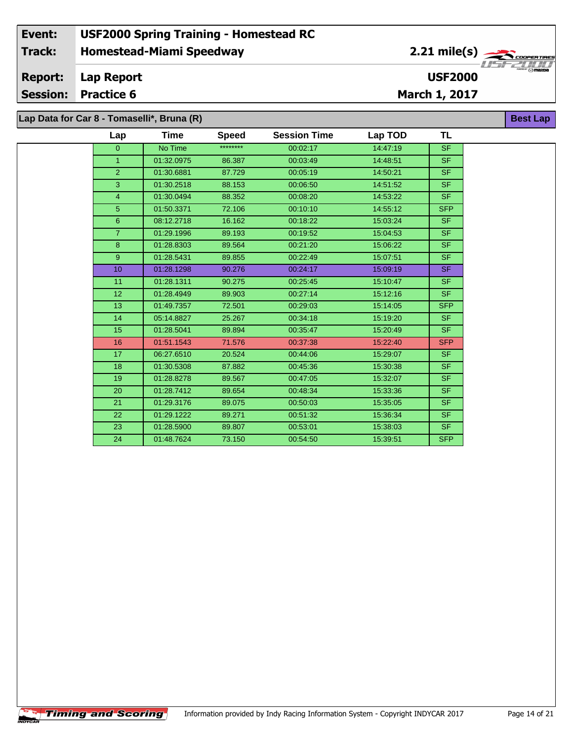### **Homestead-Miami Speedway Lap Report March 1, 2017 Event: USF2000 Spring Training - Homestead RC Track: Report: Session: Practice 6 USF2000** 2.21 mile(s) **Best Lap Lap Data for Car 8 - Tomaselli\*, Bruna (R)**

| $ap$ Data IVI Car 0 - Tomasem , Druna (IV) |             |              |                     |          |            |  |  |  |
|--------------------------------------------|-------------|--------------|---------------------|----------|------------|--|--|--|
| Lap                                        | <b>Time</b> | <b>Speed</b> | <b>Session Time</b> | Lap TOD  | TL         |  |  |  |
| $\overline{0}$                             | No Time     | ********     | 00:02:17            | 14:47:19 | <b>SF</b>  |  |  |  |
| 1 <sup>1</sup>                             | 01:32.0975  | 86.387       | 00:03:49            | 14:48:51 | SF.        |  |  |  |
| $\overline{2}$                             | 01:30.6881  | 87.729       | 00:05:19            | 14:50:21 | SF.        |  |  |  |
| 3                                          | 01:30.2518  | 88.153       | 00:06:50            | 14:51:52 | SF.        |  |  |  |
| $\overline{4}$                             | 01:30.0494  | 88.352       | 00:08:20            | 14:53:22 | SF.        |  |  |  |
| 5 <sup>5</sup>                             | 01:50.3371  | 72.106       | 00:10:10            | 14:55:12 | SFP        |  |  |  |
| 6                                          | 08:12.2718  | 16.162       | 00:18:22            | 15:03:24 | SF.        |  |  |  |
| 7 <sup>1</sup>                             | 01:29.1996  | 89.193       | 00:19:52            | 15:04:53 | SF.        |  |  |  |
| 8                                          | 01:28.8303  | 89.564       | 00:21:20            | 15:06:22 | SF.        |  |  |  |
| $9^{\circ}$                                | 01:28.5431  | 89.855       | 00:22:49            | 15:07:51 | SF.        |  |  |  |
| 10 <sup>°</sup>                            | 01:28.1298  | 90.276       | 00:24:17            | 15:09:19 | SF.        |  |  |  |
| 11                                         | 01:28.1311  | 90.275       | 00:25:45            | 15:10:47 | SF.        |  |  |  |
| 12 <sub>2</sub>                            | 01:28.4949  | 89.903       | 00:27:14            | 15:12:16 | SF.        |  |  |  |
| 13                                         | 01:49.7357  | 72.501       | 00:29:03            | 15:14:05 | SFP        |  |  |  |
| 14                                         | 05:14.8827  | 25.267       | 00:34:18            | 15:19:20 | SF.        |  |  |  |
| 15                                         | 01:28.5041  | 89.894       | 00:35:47            | 15:20:49 | SF.        |  |  |  |
| 16                                         | 01:51.1543  | 71.576       | 00:37:38            | 15:22:40 | <b>SFP</b> |  |  |  |
| 17 <sup>2</sup>                            | 06:27.6510  | 20.524       | 00:44:06            | 15:29:07 | SF.        |  |  |  |
| 18                                         | 01:30.5308  | 87.882       | 00:45:36            | 15:30:38 | SF.        |  |  |  |
| 19                                         | 01:28.8278  | 89.567       | 00:47:05            | 15:32:07 | SF.        |  |  |  |
| 20                                         | 01:28.7412  | 89.654       | 00:48:34            | 15:33:36 | SF.        |  |  |  |
| 21                                         | 01:29.3176  | 89.075       | 00:50:03            | 15:35:05 | SF.        |  |  |  |
| 22                                         | 01:29.1222  | 89.271       | 00:51:32            | 15:36:34 | SF.        |  |  |  |
| 23                                         | 01:28.5900  | 89.807       | 00:53:01            | 15:38:03 | SF.        |  |  |  |
| 24                                         | 01:48.7624  | 73.150       | 00:54:50            | 15:39:51 | <b>SFP</b> |  |  |  |
|                                            |             |              |                     |          |            |  |  |  |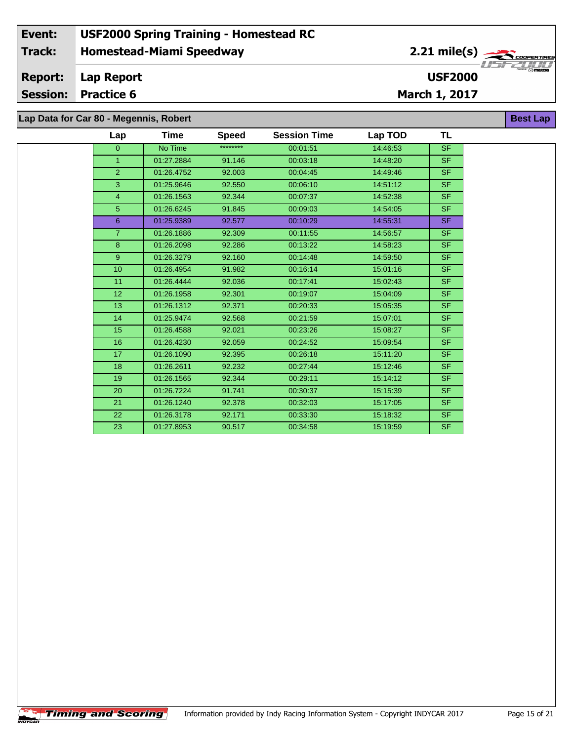# **Lap Time Speed Session Time Lap TOD Lap Data for Car 80 - Megennis, Robert**

| Lap             | Time       | <b>Speed</b> | <b>Session Time</b> | Lap TOD  | TL        |  |
|-----------------|------------|--------------|---------------------|----------|-----------|--|
| $\overline{0}$  | No Time    | ********     | 00:01:51            | 14:46:53 | <b>SF</b> |  |
| $\mathbf{1}$    | 01:27.2884 | 91.146       | 00:03:18            | 14:48:20 | <b>SF</b> |  |
| $\overline{2}$  | 01:26.4752 | 92.003       | 00:04:45            | 14:49:46 | SF.       |  |
| 3               | 01:25.9646 | 92.550       | 00:06:10            | 14:51:12 | SF.       |  |
| 4               | 01:26.1563 | 92.344       | 00:07:37            | 14:52:38 | SF.       |  |
| $\sqrt{5}$      | 01:26.6245 | 91.845       | 00:09:03            | 14:54:05 | SF.       |  |
| 6               | 01:25.9389 | 92.577       | 00:10:29            | 14:55:31 | SF.       |  |
| $\overline{7}$  | 01:26.1886 | 92.309       | 00:11:55            | 14:56:57 | SF.       |  |
| 8               | 01:26.2098 | 92.286       | 00:13:22            | 14:58:23 | SF.       |  |
| 9               | 01:26.3279 | 92.160       | 00:14:48            | 14:59:50 | <b>SF</b> |  |
| 10              | 01:26.4954 | 91.982       | 00:16:14            | 15:01:16 | <b>SF</b> |  |
| 11              | 01:26.4444 | 92.036       | 00:17:41            | 15:02:43 | <b>SF</b> |  |
| 12 <sup>2</sup> | 01:26.1958 | 92.301       | 00:19:07            | 15:04:09 | <b>SF</b> |  |
| 13              | 01:26.1312 | 92.371       | 00:20:33            | 15:05:35 | <b>SF</b> |  |
| 14              | 01:25.9474 | 92.568       | 00:21:59            | 15:07:01 | SF.       |  |
| 15              | 01:26.4588 | 92.021       | 00:23:26            | 15:08:27 | <b>SF</b> |  |
| 16              | 01:26.4230 | 92.059       | 00:24:52            | 15:09:54 | SF.       |  |
| 17              | 01:26.1090 | 92.395       | 00:26:18            | 15:11:20 | SF.       |  |
| 18              | 01:26.2611 | 92.232       | 00:27:44            | 15:12:46 | SF.       |  |
| 19              | 01:26.1565 | 92.344       | 00:29:11            | 15:14:12 | SF.       |  |
| 20              | 01:26.7224 | 91.741       | 00:30:37            | 15:15:39 | SF.       |  |
| 21              | 01:26.1240 | 92.378       | 00:32:03            | 15:17:05 | SF.       |  |
| 22              | 01:26.3178 | 92.171       | 00:33:30            | 15:18:32 | SF.       |  |
| 23              | 01:27.8953 | 90.517       | 00:34:58            | 15:19:59 | <b>SF</b> |  |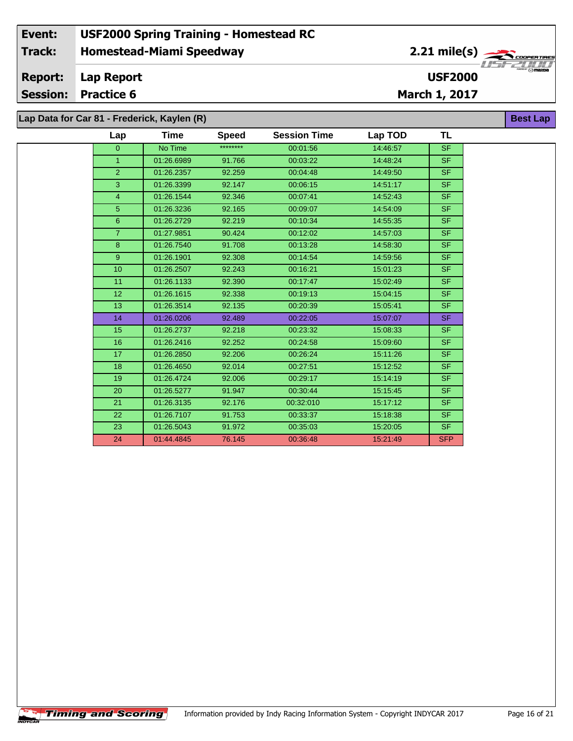#### **Event: USF2000 Spring Training - Homestead RC 2.21 mile(s) Track: Homestead-Miami Speedway** .<br>COOPERTIRE  $\frac{1}{2}$  of  $\frac{1}{2}$ **Report: Lap Report USF2000 Session: Practice 6 March 1, 2017 Lap Data for Car 81 - Frederick, Kaylen (R) Best Lap**

|                 | $\mu$ bala ivi bai vi Tibabilon, nayion (n) |              |                     |          |            |  |
|-----------------|---------------------------------------------|--------------|---------------------|----------|------------|--|
| Lap             | <b>Time</b>                                 | <b>Speed</b> | <b>Session Time</b> | Lap TOD  | <b>TL</b>  |  |
| $\overline{0}$  | No Time                                     | ********     | 00:01:56            | 14:46:57 | <b>SF</b>  |  |
| $\mathbf{1}$    | 01:26.6989                                  | 91.766       | 00:03:22            | 14:48:24 | <b>SF</b>  |  |
| $\overline{2}$  | 01:26.2357                                  | 92.259       | 00:04:48            | 14:49:50 | <b>SF</b>  |  |
| 3               | 01:26.3399                                  | 92.147       | 00:06:15            | 14:51:17 | <b>SF</b>  |  |
| $\overline{4}$  | 01:26.1544                                  | 92.346       | 00:07:41            | 14:52:43 | <b>SF</b>  |  |
| 5 <sup>5</sup>  | 01:26.3236                                  | 92.165       | 00:09:07            | 14:54:09 | <b>SF</b>  |  |
| 6               | 01:26.2729                                  | 92.219       | 00:10:34            | 14:55:35 | <b>SF</b>  |  |
| $\overline{7}$  | 01:27.9851                                  | 90.424       | 00:12:02            | 14:57:03 | SF.        |  |
| 8               | 01:26.7540                                  | 91.708       | 00:13:28            | 14:58:30 | <b>SF</b>  |  |
| 9               | 01:26.1901                                  | 92.308       | 00:14:54            | 14:59:56 | <b>SF</b>  |  |
| 10 <sup>1</sup> | 01:26.2507                                  | 92.243       | 00:16:21            | 15:01:23 | <b>SF</b>  |  |
| 11              | 01:26.1133                                  | 92.390       | 00:17:47            | 15:02:49 | <b>SF</b>  |  |
| 12              | 01:26.1615                                  | 92.338       | 00:19:13            | 15:04:15 | <b>SF</b>  |  |
| 13              | 01:26.3514                                  | 92.135       | 00:20:39            | 15:05:41 | <b>SF</b>  |  |
| 14              | 01:26.0206                                  | 92.489       | 00:22:05            | 15:07:07 | <b>SF</b>  |  |
| 15              | 01:26.2737                                  | 92.218       | 00:23:32            | 15:08:33 | <b>SF</b>  |  |
| 16              | 01:26.2416                                  | 92.252       | 00:24:58            | 15:09:60 | <b>SF</b>  |  |
| 17              | 01:26.2850                                  | 92.206       | 00:26:24            | 15:11:26 | <b>SF</b>  |  |
| 18              | 01:26.4650                                  | 92.014       | 00:27:51            | 15:12:52 | <b>SF</b>  |  |
| 19              | 01:26.4724                                  | 92.006       | 00:29:17            | 15:14:19 | <b>SF</b>  |  |
| 20              | 01:26.5277                                  | 91.947       | 00:30:44            | 15:15:45 | <b>SF</b>  |  |
| 21              | 01:26.3135                                  | 92.176       | 00:32:010           | 15:17:12 | <b>SF</b>  |  |
| 22              | 01:26.7107                                  | 91.753       | 00:33:37            | 15:18:38 | <b>SF</b>  |  |
| 23              | 01:26.5043                                  | 91.972       | 00:35:03            | 15:20:05 | <b>SF</b>  |  |
| 24              | 01:44.4845                                  | 76.145       | 00:36:48            | 15:21:49 | <b>SFP</b> |  |

÷.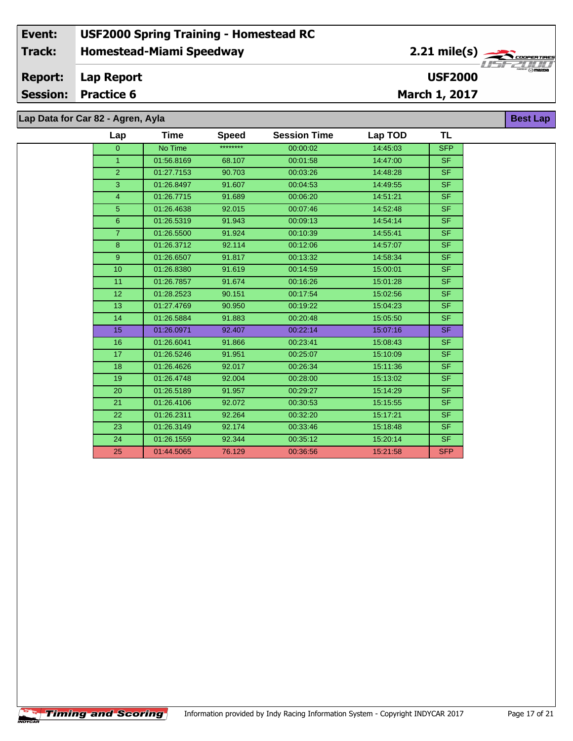# **Lap Data for Car 82 - Agren, Ayla**

 $\overline{\phantom{a}}$ 

| Lap             | <b>Time</b> | <b>Speed</b> | <b>Session Time</b> | Lap TOD  | <b>TL</b>  |
|-----------------|-------------|--------------|---------------------|----------|------------|
| $\overline{0}$  | No Time     | ********     | 00:00:02            | 14:45:03 | <b>SFP</b> |
| 1 <sup>1</sup>  | 01:56.8169  | 68.107       | 00:01:58            | 14:47:00 | <b>SF</b>  |
| 2 <sup>1</sup>  | 01:27.7153  | 90.703       | 00:03:26            | 14:48:28 | SF.        |
| $\overline{3}$  | 01:26.8497  | 91.607       | 00:04:53            | 14:49:55 | <b>SF</b>  |
| $\overline{4}$  | 01:26.7715  | 91.689       | 00:06:20            | 14:51:21 | <b>SF</b>  |
| 5 <sup>5</sup>  | 01:26.4638  | 92.015       | 00:07:46            | 14:52:48 | SF.        |
| 6 <sup>°</sup>  | 01:26.5319  | 91.943       | 00:09:13            | 14:54:14 | <b>SF</b>  |
| 7 <sup>1</sup>  | 01:26.5500  | 91.924       | 00:10:39            | 14:55:41 | <b>SF</b>  |
| 8               | 01:26.3712  | 92.114       | 00:12:06            | 14:57:07 | <b>SF</b>  |
| 9 <sup>°</sup>  | 01:26.6507  | 91.817       | 00:13:32            | 14:58:34 | <b>SF</b>  |
| 10              | 01:26.8380  | 91.619       | 00:14:59            | 15:00:01 | <b>SF</b>  |
| 11              | 01:26.7857  | 91.674       | 00:16:26            | 15:01:28 | <b>SF</b>  |
| 12 <sup>°</sup> | 01:28.2523  | 90.151       | 00:17:54            | 15:02:56 | <b>SF</b>  |
| 13              | 01:27.4769  | 90.950       | 00:19:22            | 15:04:23 | <b>SF</b>  |
| 14              | 01:26.5884  | 91.883       | 00:20:48            | 15:05:50 | <b>SF</b>  |
| 15              | 01:26.0971  | 92.407       | 00:22:14            | 15:07:16 | SF.        |
| 16              | 01:26.6041  | 91.866       | 00:23:41            | 15:08:43 | <b>SF</b>  |
| 17              | 01:26.5246  | 91.951       | 00:25:07            | 15:10:09 | <b>SF</b>  |
| 18              | 01:26.4626  | 92.017       | 00:26:34            | 15:11:36 | SF.        |
| 19              | 01:26.4748  | 92.004       | 00:28:00            | 15:13:02 | SF.        |
| 20              | 01:26.5189  | 91.957       | 00:29:27            | 15:14:29 | <b>SF</b>  |
| 21              | 01:26.4106  | 92.072       | 00:30:53            | 15:15:55 | SF.        |
| 22              | 01:26.2311  | 92.264       | 00:32:20            | 15:17:21 | SF.        |
| 23              | 01:26.3149  | 92.174       | 00:33:46            | 15:18:48 | <b>SF</b>  |
| 24              | 01:26.1559  | 92.344       | 00:35:12            | 15:20:14 | SF.        |
| 25              | 01:44.5065  | 76.129       | 00:36:56            | 15:21:58 | <b>SFP</b> |

**Best Lap**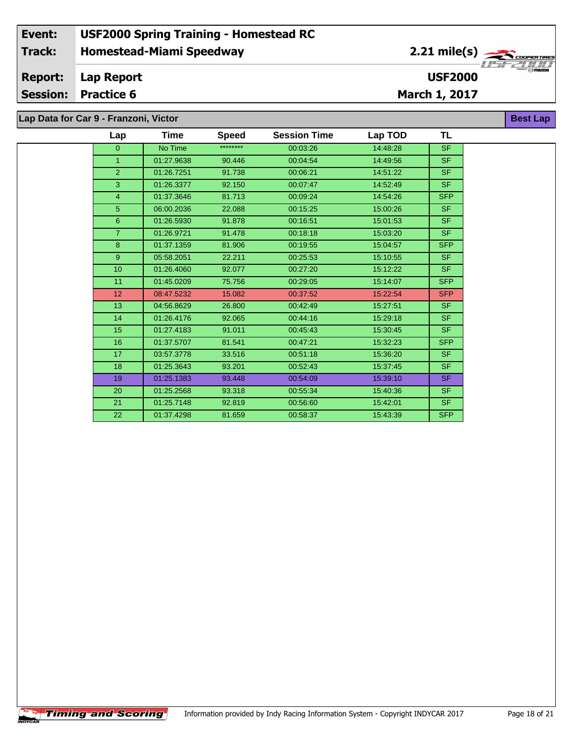**Lap Data for Car 9 - Franzoni, Victor**

| Lap            | Time       | <b>Speed</b> | <b>Session Time</b> | Lap TOD  | <b>TL</b>  |
|----------------|------------|--------------|---------------------|----------|------------|
| $\overline{0}$ | No Time    | ********     | 00:03:26            | 14:48:28 | <b>SF</b>  |
| $\overline{1}$ | 01:27.9638 | 90.446       | 00:04:54            | 14:49:56 | <b>SF</b>  |
| 2              | 01:26.7251 | 91.738       | 00:06:21            | 14:51:22 | <b>SF</b>  |
| 3              | 01:26.3377 | 92.150       | 00:07:47            | 14:52:49 | <b>SF</b>  |
| $\overline{4}$ | 01:37.3646 | 81.713       | 00:09:24            | 14:54:26 | <b>SFP</b> |
| 5              | 06:00.2036 | 22.088       | 00:15:25            | 15:00:26 | <b>SF</b>  |
| $6\phantom{1}$ | 01:26.5930 | 91.878       | 00:16:51            | 15:01:53 | <b>SF</b>  |
| $\overline{7}$ | 01:26.9721 | 91.478       | 00:18:18            | 15:03:20 | <b>SF</b>  |
| 8              | 01:37.1359 | 81.906       | 00:19:55            | 15:04:57 | <b>SFP</b> |
| 9              | 05:58.2051 | 22.211       | 00:25:53            | 15:10:55 | <b>SF</b>  |
| 10             | 01:26.4060 | 92.077       | 00:27:20            | 15:12:22 | <b>SF</b>  |
| 11             | 01:45.0209 | 75.756       | 00:29:05            | 15:14:07 | <b>SFP</b> |
| 12             | 08:47.5232 | 15.082       | 00:37:52            | 15:22:54 | <b>SFP</b> |
| 13             | 04:56.8629 | 26.800       | 00:42:49            | 15:27:51 | <b>SF</b>  |
| 14             | 01:26.4176 | 92.065       | 00:44:16            | 15:29:18 | <b>SF</b>  |
| 15             | 01:27.4183 | 91.011       | 00:45:43            | 15:30:45 | <b>SF</b>  |
| 16             | 01:37.5707 | 81.541       | 00:47:21            | 15:32:23 | <b>SFP</b> |
| 17             | 03:57.3778 | 33.516       | 00:51:18            | 15:36:20 | <b>SF</b>  |
| 18             | 01:25.3643 | 93.201       | 00:52:43            | 15:37:45 | <b>SF</b>  |
| 19             | 01:25.1383 | 93.448       | 00:54:09            | 15:39:10 | <b>SF</b>  |
| 20             | 01:25.2568 | 93.318       | 00:55:34            | 15:40:36 | <b>SF</b>  |
| 21             | 01:25.7148 | 92.819       | 00:56:60            | 15:42:01 | <b>SF</b>  |
| 22             | 01:37.4298 | 81.659       | 00:58:37            | 15:43:39 | <b>SFP</b> |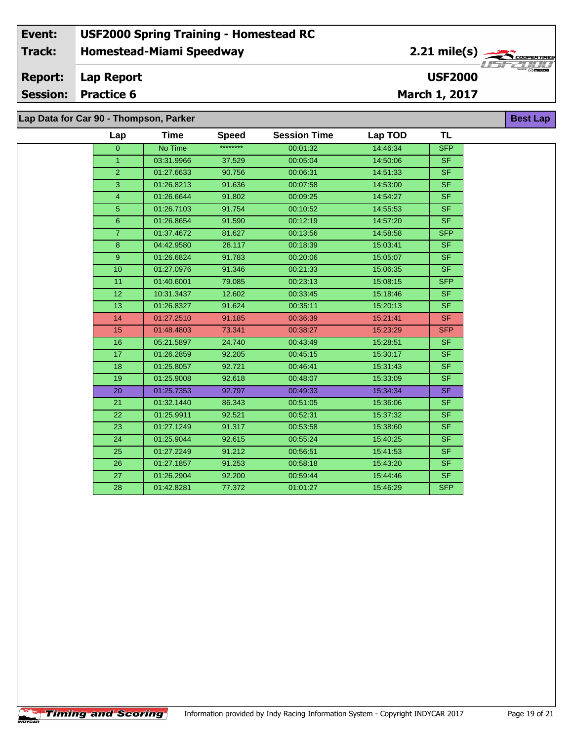#### **Event: USF2000 Spring Training - Homestead RC 2.21 mile(s) Track: Homestead-Miami Speedway** COOPERTIRE **Report: Lap Report USF2000 Session: Practice 6 March 1, 2017 Lap Data for Car 90 - Thompson, Parker Best Lap**

| Lap                     | Time       | <b>Speed</b> | <b>Session Time</b> | Lap TOD  | <b>TL</b>                |  |  |  |
|-------------------------|------------|--------------|---------------------|----------|--------------------------|--|--|--|
| $\overline{0}$          | No Time    | ********     | 00:01:32            | 14:46:34 | <b>SFP</b>               |  |  |  |
| $\mathbf{1}$            | 03:31.9966 | 37.529       | 00:05:04            | 14:50:06 | SF                       |  |  |  |
| $\overline{2}$          | 01:27.6633 | 90.756       | 00:06:31            | 14:51:33 | SF                       |  |  |  |
| 3                       | 01:26.8213 | 91.636       | 00:07:58            | 14:53:00 | SF                       |  |  |  |
| $\overline{\mathbf{4}}$ | 01:26.6644 | 91.802       | 00:09:25            | 14:54:27 | $\overline{\mathsf{SF}}$ |  |  |  |
| $\sqrt{5}$              | 01:26.7103 | 91.754       | 00:10:52            | 14:55:53 | <b>SF</b>                |  |  |  |
| $\overline{6}$          | 01:26.8654 | 91.590       | 00:12:19            | 14:57:20 | <b>SF</b>                |  |  |  |
| $\overline{7}$          | 01:37.4672 | 81.627       | 00:13:56            | 14:58:58 | <b>SFP</b>               |  |  |  |
| 8                       | 04:42.9580 | 28.117       | 00:18:39            | 15:03:41 | <b>SF</b>                |  |  |  |
| $\boldsymbol{9}$        | 01:26.6824 | 91.783       | 00:20:06            | 15:05:07 | <b>SF</b>                |  |  |  |
| 10                      | 01:27.0976 | 91.346       | 00:21:33            | 15:06:35 | <b>SF</b>                |  |  |  |
| $\overline{11}$         | 01:40.6001 | 79.085       | 00:23:13            | 15:08:15 | <b>SFP</b>               |  |  |  |
| 12                      | 10:31.3437 | 12.602       | 00:33:45            | 15:18:46 | <b>SF</b>                |  |  |  |
| 13                      | 01:26.8327 | 91.624       | 00:35:11            | 15:20:13 | S <sub>F</sub>           |  |  |  |
| 14                      | 01:27.2510 | 91.185       | 00:36:39            | 15:21:41 | <b>SF</b>                |  |  |  |
| 15                      | 01:48.4803 | 73.341       | 00:38:27            | 15:23:29 | <b>SFP</b>               |  |  |  |
| 16                      | 05:21.5897 | 24.740       | 00:43:49            | 15:28:51 | <b>SF</b>                |  |  |  |
| 17                      | 01:26.2859 | 92.205       | 00:45:15            | 15:30:17 | <b>SF</b>                |  |  |  |
| 18                      | 01:25.8057 | 92.721       | 00:46:41            | 15:31:43 | SF                       |  |  |  |
| 19                      | 01:25.9008 | 92.618       | 00:48:07            | 15:33:09 | <b>SF</b>                |  |  |  |
| 20                      | 01:25.7353 | 92.797       | 00:49:33            | 15:34:34 | $S$ F                    |  |  |  |
| 21                      | 01:32.1440 | 86.343       | 00:51:05            | 15:36:06 | <b>SF</b>                |  |  |  |
| 22                      | 01:25.9911 | 92.521       | 00:52:31            | 15:37:32 | SF                       |  |  |  |
| 23                      | 01:27.1249 | 91.317       | 00:53:58            | 15:38:60 | SF                       |  |  |  |
| 24                      | 01:25.9044 | 92.615       | 00:55:24            | 15:40:25 | <b>SF</b>                |  |  |  |
| $\overline{25}$         | 01:27.2249 | 91.212       | 00:56:51            | 15:41:53 | SF                       |  |  |  |
| 26                      | 01:27.1857 | 91.253       | 00:58:18            | 15:43:20 | <b>SF</b>                |  |  |  |
| $\overline{27}$         | 01:26.2904 | 92.200       | 00:59:44            | 15:44:46 | SF                       |  |  |  |
| 28                      | 01:42.8281 | 77.372       | 01:01:27            | 15:46:29 | <b>SFP</b>               |  |  |  |
|                         |            |              |                     |          |                          |  |  |  |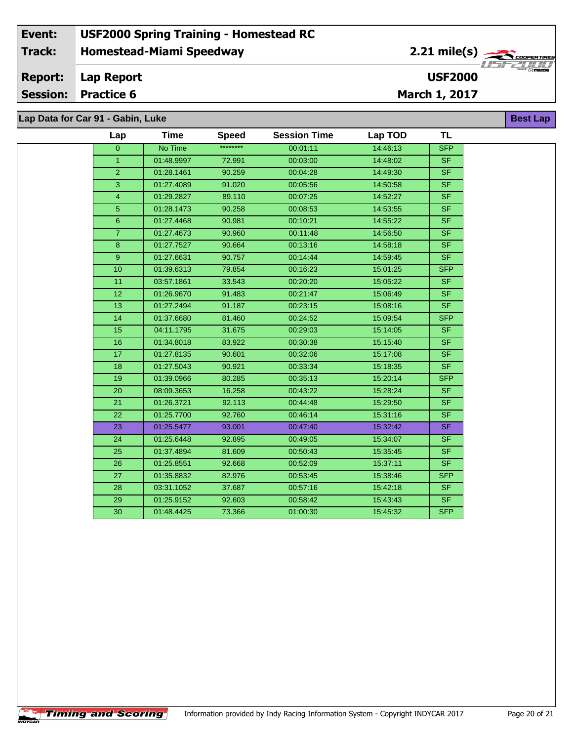# **Lap Data for Car 91 - Gabin, Luke**

 $\sqrt{\textbf{T}}$ iming and Scoring $\sqrt{\textbf{S}}$ 

| Lap             | <b>Time</b> | <b>Speed</b> | <b>Session Time</b> | Lap TOD  | <b>TL</b>                |
|-----------------|-------------|--------------|---------------------|----------|--------------------------|
| $\overline{0}$  | No Time     | ********     | 00:01:11            | 14:46:13 | <b>SFP</b>               |
| $\mathbf{1}$    | 01:48.9997  | 72.991       | 00:03:00            | 14:48:02 | <b>SF</b>                |
| $\overline{2}$  | 01:28.1461  | 90.259       | 00:04:28            | 14:49:30 | $\overline{\mathsf{SF}}$ |
| 3               | 01:27.4089  | 91.020       | 00:05:56            | 14:50:58 | <b>SF</b>                |
| $\overline{4}$  | 01:29.2827  | 89.110       | 00:07:25            | 14:52:27 | <b>SF</b>                |
| 5               | 01:28.1473  | 90.258       | 00:08:53            | 14:53:55 | <b>SF</b>                |
| $\overline{6}$  | 01:27.4468  | 90.981       | 00:10:21            | 14:55:22 | <b>SF</b>                |
| $\overline{7}$  | 01:27.4673  | 90.960       | 00:11:48            | 14:56:50 | SF.                      |
| 8               | 01:27.7527  | 90.664       | 00:13:16            | 14:58:18 | <b>SF</b>                |
| $\overline{9}$  | 01:27.6631  | 90.757       | 00:14:44            | 14:59:45 | SF                       |
| 10              | 01:39.6313  | 79.854       | 00:16:23            | 15:01:25 | <b>SFP</b>               |
| $\overline{11}$ | 03:57.1861  | 33.543       | 00:20:20            | 15:05:22 | <b>SF</b>                |
| 12              | 01:26.9670  | 91.483       | 00:21:47            | 15:06:49 | <b>SF</b>                |
| 13              | 01:27.2494  | 91.187       | 00:23:15            | 15:08:16 | <b>SF</b>                |
| 14              | 01:37.6680  | 81.460       | 00:24:52            | 15:09:54 | <b>SFP</b>               |
| 15              | 04:11.1795  | 31.675       | 00:29:03            | 15:14:05 | <b>SF</b>                |
| 16              | 01:34.8018  | 83.922       | 00:30:38            | 15:15:40 | <b>SF</b>                |
| 17              | 01:27.8135  | 90.601       | 00:32:06            | 15:17:08 | <b>SF</b>                |
| 18              | 01:27.5043  | 90.921       | 00:33:34            | 15:18:35 | <b>SF</b>                |
| 19              | 01:39.0966  | 80.285       | 00:35:13            | 15:20:14 | <b>SFP</b>               |
| 20              | 08:09.3653  | 16.258       | 00:43:22            | 15:28:24 | <b>SF</b>                |
| 21              | 01:26.3721  | 92.113       | 00:44:48            | 15:29:50 | <b>SF</b>                |
| 22              | 01:25.7700  | 92.760       | 00:46:14            | 15:31:16 | $\overline{\mathsf{SF}}$ |
| 23              | 01:25.5477  | 93.001       | 00:47:40            | 15:32:42 | <b>SF</b>                |
| 24              | 01:25.6448  | 92.895       | 00:49:05            | 15:34:07 | <b>SF</b>                |
| 25              | 01:37.4894  | 81.609       | 00:50:43            | 15:35:45 | <b>SF</b>                |
| 26              | 01:25.8551  | 92.668       | 00:52:09            | 15:37:11 | <b>SF</b>                |
| 27              | 01:35.8832  | 82.976       | 00:53:45            | 15:38:46 | <b>SFP</b>               |
| 28              | 03:31.1052  | 37.687       | 00:57:16            | 15:42:18 | <b>SF</b>                |
| 29              | 01:25.9152  | 92.603       | 00:58:42            | 15:43:43 | <b>SF</b>                |
| 30              | 01:48.4425  | 73.366       | 01:00:30            | 15:45:32 | <b>SFP</b>               |